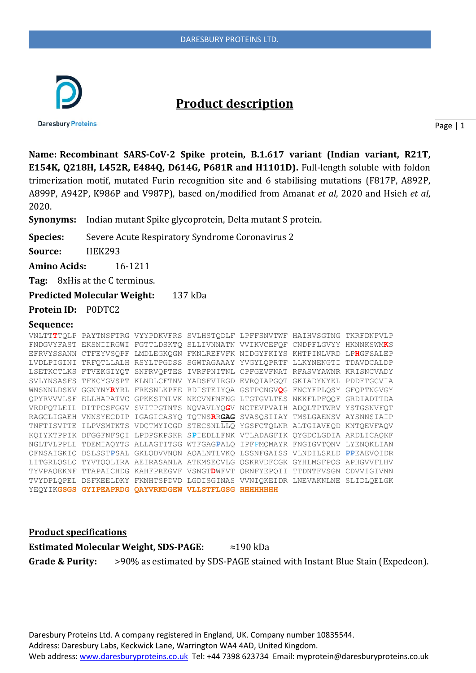

# **Product description**

**Daresbury Proteins** 

Page | 1

**Name: Recombinant SARS-CoV-2 Spike protein, B.1.617 variant (Indian variant, R21T, E154K, Q218H, L452R, E484Q, D614G, P681R and H1101D).** Full-length soluble with foldon trimerization motif, mutated Furin recognition site and 6 stabilising mutations (F817P, A892P, A899P, A942P, K986P and V987P), based on/modified from Amanat *et al*, 2020 and Hsieh *et al*, 2020.

**Synonyms:** Indian mutant Spike glycoprotein, Delta mutant S protein.

**Species:** Severe Acute Respiratory Syndrome Coronavirus 2

**Source:** HEK293

**Amino Acids:** 16-1211

**Tag:** 8xHis at the C terminus.

**Predicted Molecular Weight:** 137 kDa

**Protein ID:** P0DTC2

#### **Sequence:**

| VNLTTTTOLP PAYTNSFTRG VYYPDKVFRS SVLHSTODLF LPFFSNVTWF HAIHVSGTNG TKRFDNPVLP |  |  |  |
|------------------------------------------------------------------------------|--|--|--|
| FNDGVYFAST EKSNIIRGWI FGTTLDSKTO SLLIVNNATN VVIKVCEFOF CNDPFLGVYY HKNNKSWMKS |  |  |  |
| EFRVYSSANN CTFEYVSOPF LMDLEGKOGN FKNLREFVFK NIDGYFKIYS KHTPINLVRD LPHGFSALEP |  |  |  |
| LVDLPIGINI TRFOTLLALH RSYLTPGDSS SGWTAGAAAY YVGYLOPRTF LLKYNENGTI TDAVDCALDP |  |  |  |
| LSETKCTLKS FTVEKGIYOT SNFRVOPTES IVRFPNITNL CPFGEVFNAT RFASVYAWNR KRISNCVADY |  |  |  |
| SVLYNSASFS TFKCYGVSPT KLNDLCFTNV YADSFVIRGD EVRQIAPGQT GKIADYNYKL PDDFTGCVIA |  |  |  |
| WNSNNLDSKV GGNYNYRYRL FRKSNLKPFE RDISTEIYQA GSTPCNGVQG FNCYFPLQSY GFQPTNGVGY |  |  |  |
| OPYRVVVLSF ELLHAPATVC GPKKSTNLVK NKCVNFNFNG LTGTGVLTES NKKFLPFOOF GRDIADTTDA |  |  |  |
| VRDPQTLEIL DITPCSFGGV SVITPGTNTS NQVAVLYQGV NCTEVPVAIH ADOLTPTWRV YSTGSNVFOT |  |  |  |
| RAGCLIGAEH VNNSYECDIP IGAGICASYQ TQTNSRRGAG SVASQSIIAY TMSLGAENSV AYSNNSIAIP |  |  |  |
| TNFTISVTTE ILPVSMTKTS VDCTMYICGD STECSNLLLQ YGSFCTQLNR ALTGIAVEQD KNTQEVFAQV |  |  |  |
| KQIYKTPPIK DFGGFNFSQI LPDPSKPSKR SPIEDLLFNK VTLADAGFIK QYGDCLGDIA ARDLICAQKF |  |  |  |
| NGLTVLPPLL TDEMIAQYTS ALLAGTITSG WTFGAGPALQ IPFPMQMAYR FNGIGVTQNV LYENQKLIAN |  |  |  |
| QFNSAIGKIQ DSLSSTPSAL GKLQDVVNQN AQALNTLVKQ LSSNFGAISS VLNDILSRLD PPEAEVQIDR |  |  |  |
| LITGRLQSLQ TYVTQQLIRA AEIRASANLA ATKMSECVLG QSKRVDFCGK GYHLMSFPQS APHGVVFLHV |  |  |  |
| TYVPAQEKNF TTAPAICHDG KAHFPREGVF VSNGTDWFVT QRNFYEPQII TTDNTFVSGN CDVVIGIVNN |  |  |  |
| TVYDPLQPEL DSFKEELDKY FKNHTSPDVD LGDISGINAS VVNIQKEIDR LNEVAKNLNE SLIDLQELGK |  |  |  |
| YEQYIKGSGS GYIPEAPRDG QAYVRKDGEW VLLSTFLGSG HHHHHHHH                         |  |  |  |

**Product specifications**

**Estimated Molecular Weight, SDS-PAGE:** ≈190 kDa **Grade & Purity:** >90% as estimated by SDS-PAGE stained with Instant Blue Stain (Expedeon).

Daresbury Proteins Ltd. A company registered in England, UK. Company number 10835544. Address: Daresbury Labs, Keckwick Lane, Warrington WA4 4AD, United Kingdom. Web address[: www.daresburyproteins.co.uk](http://www.daresburyproteins.co.uk/) Tel: +44 7398 623734 Email: myprotein@daresburyproteins.co.uk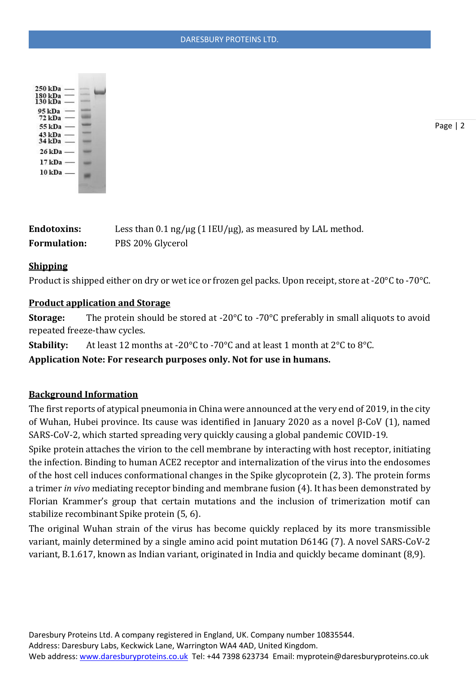

Page | 2

| Endotoxins:  | Less than 0.1 ng/ $\mu$ g (1 IEU/ $\mu$ g), as measured by LAL method. |
|--------------|------------------------------------------------------------------------|
| Formulation: | PBS 20% Glycerol                                                       |

## **Shipping**

Product is shipped either on dry or wet ice or frozen gel packs. Upon receipt, store at -20°C to -70°C.

### **Product application and Storage**

**Storage:** The protein should be stored at -20<sup>o</sup>C to -70<sup>o</sup>C preferably in small aliquots to avoid repeated freeze-thaw cycles.

**Stability:** At least 12 months at -20°C to -70°C and at least 1 month at 2°C to 8°C.

**Application Note: For research purposes only. Not for use in humans.**

## **Background Information**

The first reports of atypical pneumonia in China were announced at the very end of 2019, in the city of Wuhan, Hubei province. Its cause was identified in January 2020 as a novel β-CoV (1), named SARS-CoV-2, which started spreading very quickly causing a global pandemic COVID-19.

Spike protein attaches the virion to the cell membrane by interacting with host receptor, initiating the infection. Binding to human ACE2 receptor and internalization of the virus into the endosomes of the host cell induces conformational changes in the Spike glycoprotein (2, 3). The protein forms a trimer *in vivo* mediating receptor binding and membrane fusion (4). It has been demonstrated by Florian Krammer's group that certain mutations and the inclusion of trimerization motif can stabilize recombinant Spike protein (5, 6).

The original Wuhan strain of the virus has become quickly replaced by its more transmissible variant, mainly determined by a single amino acid point mutation D614G (7). A novel SARS-CoV-2 variant, B.1.617, known as Indian variant, originated in India and quickly became dominant (8,9).